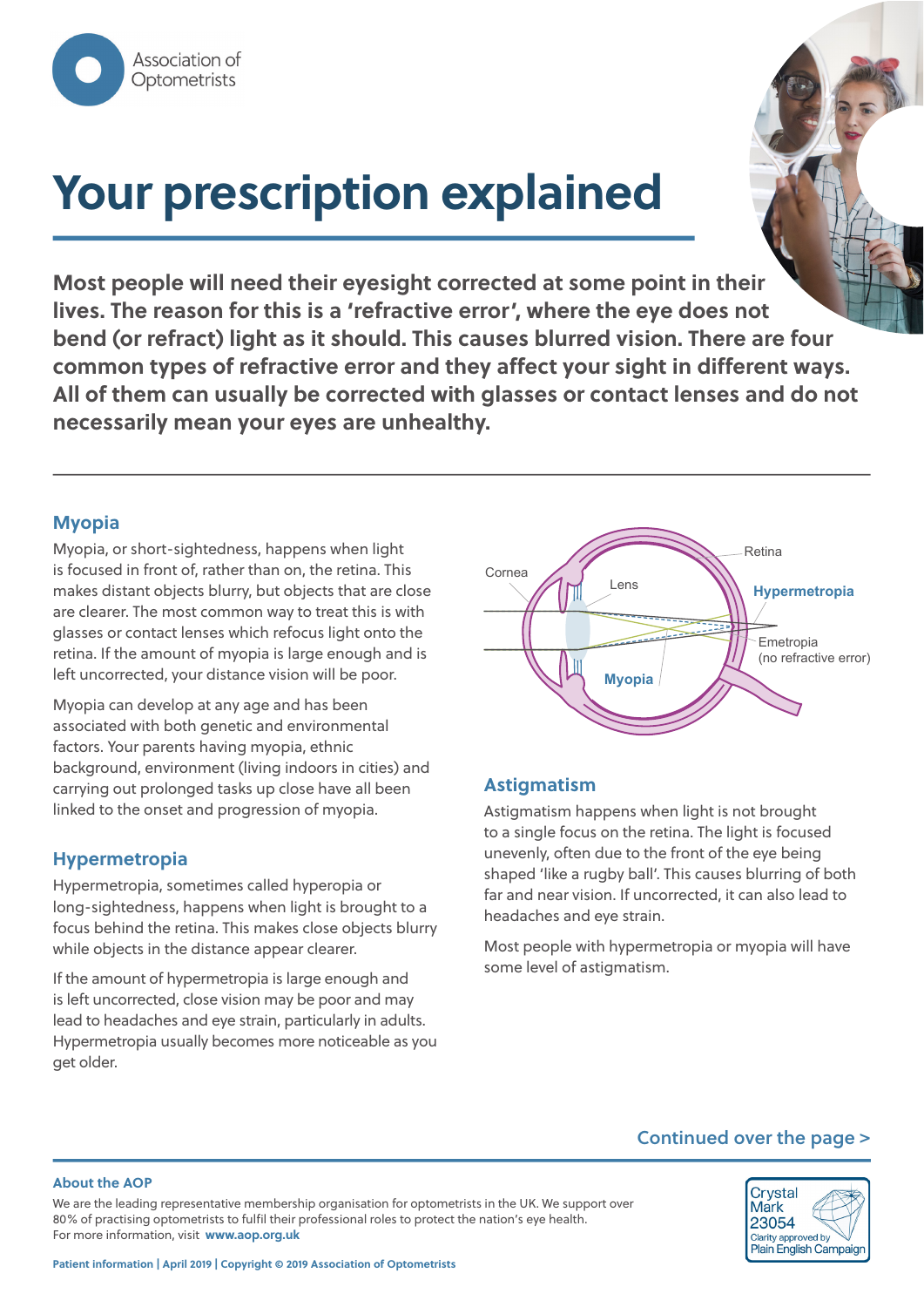

# **Your prescription explained**

**Most people will need their eyesight corrected at some point in their lives. The reason for this is a 'refractive error', where the eye does not bend (or refract) light as it should. This causes blurred vision. There are four common types of refractive error and they affect your sight in different ways. All of them can usually be corrected with glasses or contact lenses and do not necessarily mean your eyes are unhealthy.**

## **Myopia**

Myopia, or short-sightedness, happens when light is focused in front of, rather than on, the retina. This makes distant objects blurry, but objects that are close are clearer. The most common way to treat this is with glasses or contact lenses which refocus light onto the retina. If the amount of myopia is large enough and is left uncorrected, your distance vision will be poor.

Myopia can develop at any age and has been associated with both genetic and environmental factors. Your parents having myopia, ethnic background, environment (living indoors in cities) and carrying out prolonged tasks up close have all been linked to the onset and progression of myopia.

#### **Hypermetropia**

Hypermetropia, sometimes called hyperopia or long-sightedness, happens when light is brought to a focus behind the retina. This makes close objects blurry while objects in the distance appear clearer.

If the amount of hypermetropia is large enough and is left uncorrected, close vision may be poor and may lead to headaches and eye strain, particularly in adults. Hypermetropia usually becomes more noticeable as you get older.



# **Astigmatism**

Astigmatism happens when light is not brought to a single focus on the retina. The light is focused unevenly, often due to the front of the eye being shaped 'like a rugby ball'. This causes blurring of both far and near vision. If uncorrected, it can also lead to headaches and eye strain.

Most people with hypermetropia or myopia will have some level of astigmatism.

#### **Continued over the page >**

#### **About the AOP**

We are the leading representative membership organisation for optometrists in the UK. We support over 80% of practising optometrists to fulfil their professional roles to protect the nation's eye health. For more information, visit **www.aop.org.uk**